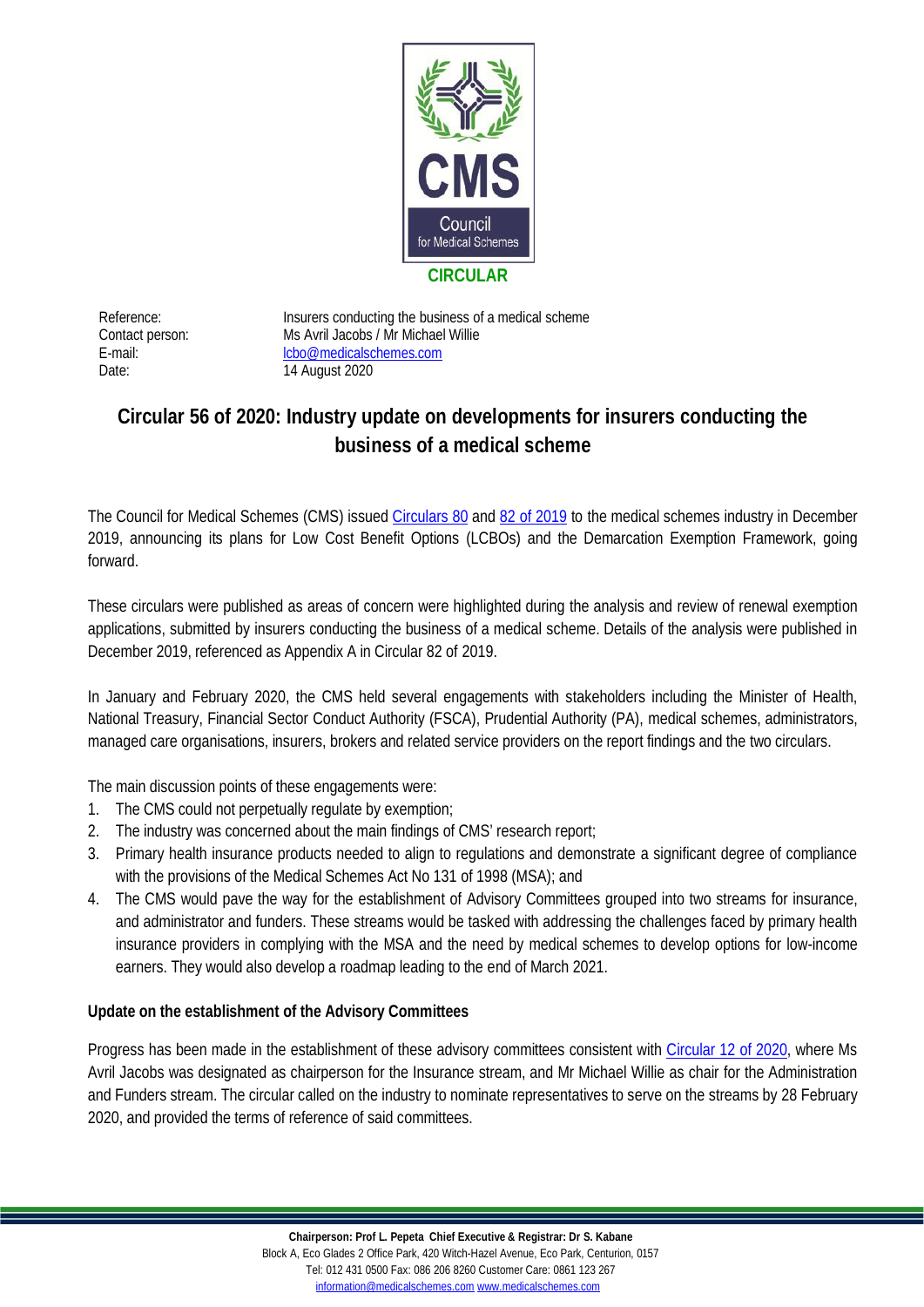

Date: 14 August 2020

Reference: Insurers conducting the business of a medical scheme Contact person: Ms Avril Jacobs / Mr Michael Willie E-mail: [lcbo@medicalschemes.com](mailto:lcbo@medicalschemes.com)

## **Circular 56 of 2020: Industry update on developments for insurers conducting the business of a medical scheme**

The Council for Medical Schemes (CMS) issued [Circulars 80](http://www.medicalschemes.com/files/Circulars/Circular80of2019.pdf) and [82 of 2019](https://www.medicalschemes.com/files/Circulars/Circular82Of2019.pdf) to the medical schemes industry in December 2019, announcing its plans for Low Cost Benefit Options (LCBOs) and the Demarcation Exemption Framework, going forward.

These circulars were published as areas of concern were highlighted during the analysis and review of renewal exemption applications, submitted by insurers conducting the business of a medical scheme. Details of the analysis were published in December 2019, referenced as Appendix A in Circular 82 of 2019.

In January and February 2020, the CMS held several engagements with stakeholders including the Minister of Health, National Treasury, Financial Sector Conduct Authority (FSCA), Prudential Authority (PA), medical schemes, administrators, managed care organisations, insurers, brokers and related service providers on the report findings and the two circulars.

The main discussion points of these engagements were:

- 1. The CMS could not perpetually regulate by exemption;
- 2. The industry was concerned about the main findings of CMS' research report;
- 3. Primary health insurance products needed to align to regulations and demonstrate a significant degree of compliance with the provisions of the Medical Schemes Act No 131 of 1998 (MSA); and
- 4. The CMS would pave the way for the establishment of Advisory Committees grouped into two streams for insurance, and administrator and funders. These streams would be tasked with addressing the challenges faced by primary health insurance providers in complying with the MSA and the need by medical schemes to develop options for low-income earners. They would also develop a roadmap leading to the end of March 2021.

**Update on the establishment of the Advisory Committees**

Progress has been made in the establishment of these advisory committees consistent with [Circular 12 of 2020,](https://www.medicalschemes.com/files/Circulars/Circular12of2020.pdf) where Ms Avril Jacobs was designated as chairperson for the Insurance stream, and Mr Michael Willie as chair for the Administration and Funders stream. The circular called on the industry to nominate representatives to serve on the streams by 28 February 2020, and provided the terms of reference of said committees.